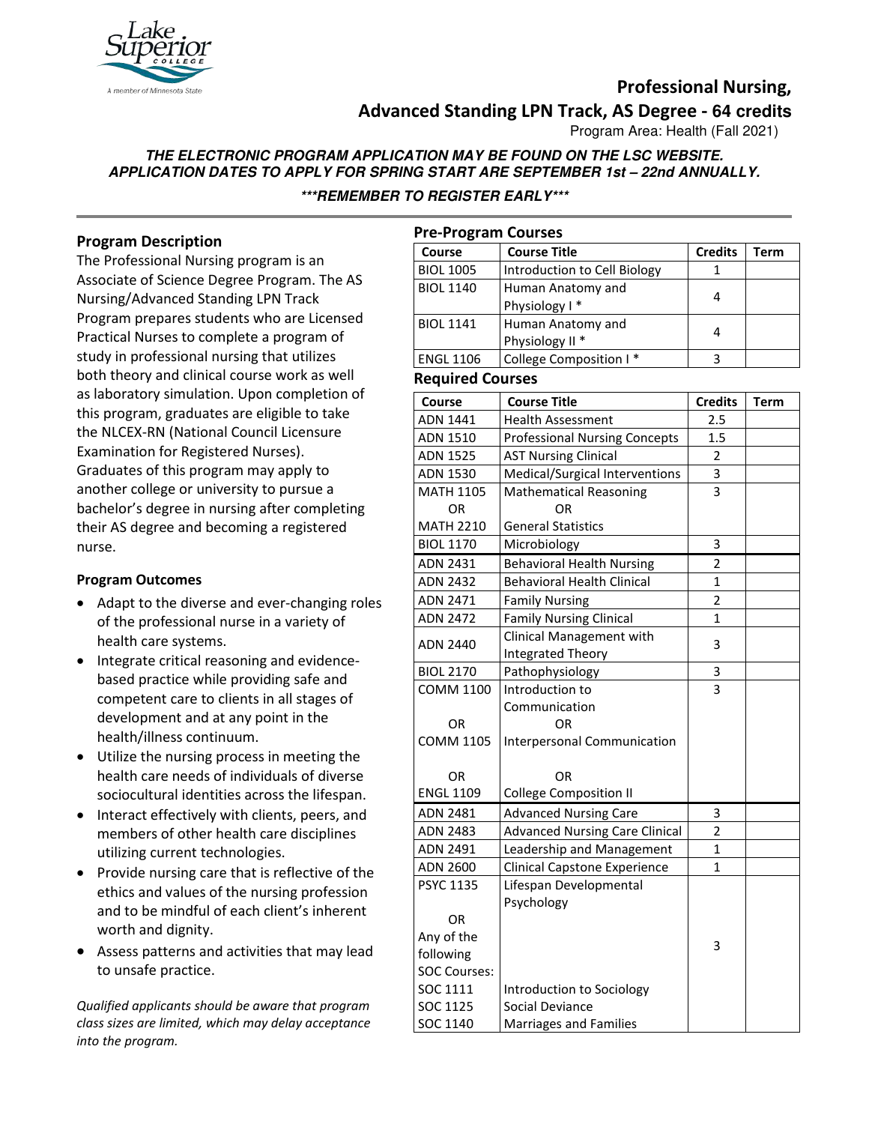

# **Professional Nursing, Advanced Standing LPN Track, AS Degree - 64 credits**

Program Area: Health (Fall 2021)

# **THE ELECTRONIC PROGRAM APPLICATION MAY BE FOUND ON THE LSC WEBSITE. APPLICATION DATES TO APPLY FOR SPRING START ARE SEPTEMBER 1st – 22nd ANNUALLY.**

**\*\*\*REMEMBER TO REGISTER EARLY\*\*\***

# **Program Description**

The Professional Nursing program is an Associate of Science Degree Program. The AS Nursing/Advanced Standing LPN Track Program prepares students who are Licensed Practical Nurses to complete a program of study in professional nursing that utilizes both theory and clinical course work as well as laboratory simulation. Upon completion of this program, graduates are eligible to take the NLCEX-RN (National Council Licensure Examination for Registered Nurses). Graduates of this program may apply to another college or university to pursue a bachelor's degree in nursing after completing their AS degree and becoming a registered nurse.

## **Program Outcomes**

- Adapt to the diverse and ever-changing roles of the professional nurse in a variety of health care systems.
- Integrate critical reasoning and evidencebased practice while providing safe and competent care to clients in all stages of development and at any point in the health/illness continuum.
- Utilize the nursing process in meeting the health care needs of individuals of diverse sociocultural identities across the lifespan.
- Interact effectively with clients, peers, and members of other health care disciplines utilizing current technologies.
- Provide nursing care that is reflective of the ethics and values of the nursing profession and to be mindful of each client's inherent worth and dignity.
- Assess patterns and activities that may lead to unsafe practice.

*Qualified applicants should be aware that program class sizes are limited, which may delay acceptance into the program.*

| <b>Pre-Program Courses</b> |                                       |                |             |  |
|----------------------------|---------------------------------------|----------------|-------------|--|
| Course                     | Course Title                          | <b>Credits</b> | <b>Term</b> |  |
| <b>BIOL 1005</b>           | Introduction to Cell Biology          | 1              |             |  |
| <b>BIOL 1140</b>           | Human Anatomy and                     | 4              |             |  |
|                            | Physiology I*                         |                |             |  |
| <b>BIOL 1141</b>           | Human Anatomy and                     | 4              |             |  |
|                            | Physiology II <sup>*</sup>            |                |             |  |
| <b>ENGL 1106</b>           | College Composition I*                | 3              |             |  |
| <b>Required Courses</b>    |                                       |                |             |  |
| <b>Course</b>              | <b>Course Title</b>                   | <b>Credits</b> | <b>Term</b> |  |
| ADN 1441                   | <b>Health Assessment</b>              | 2.5            |             |  |
| ADN 1510                   | <b>Professional Nursing Concepts</b>  | 1.5            |             |  |
| <b>ADN 1525</b>            | <b>AST Nursing Clinical</b>           | 2              |             |  |
| <b>ADN 1530</b>            | Medical/Surgical Interventions        | 3              |             |  |
| <b>MATH 1105</b>           | <b>Mathematical Reasoning</b>         | 3              |             |  |
| OR                         | <b>OR</b>                             |                |             |  |
| <b>MATH 2210</b>           | <b>General Statistics</b>             |                |             |  |
| <b>BIOL 1170</b>           | Microbiology                          | 3              |             |  |
| ADN 2431                   | <b>Behavioral Health Nursing</b>      | $\overline{2}$ |             |  |
| <b>ADN 2432</b>            | <b>Behavioral Health Clinical</b>     | $\overline{1}$ |             |  |
| ADN 2471                   | <b>Family Nursing</b>                 | $\overline{2}$ |             |  |
| <b>ADN 2472</b>            | <b>Family Nursing Clinical</b>        | 1              |             |  |
|                            | Clinical Management with              |                |             |  |
| <b>ADN 2440</b>            | Integrated Theory                     | 3              |             |  |
| <b>BIOL 2170</b>           | Pathophysiology                       | 3              |             |  |
| <b>COMM 1100</b>           | Introduction to                       | 3              |             |  |
|                            | Communication                         |                |             |  |
| <b>OR</b>                  | OR                                    |                |             |  |
| <b>COMM 1105</b>           | Interpersonal Communication           |                |             |  |
|                            |                                       |                |             |  |
| <b>OR</b>                  | OR                                    |                |             |  |
| <b>ENGL 1109</b>           | <b>College Composition II</b>         |                |             |  |
| ADN 2481                   | <b>Advanced Nursing Care</b>          | 3              |             |  |
| <b>ADN 2483</b>            | <b>Advanced Nursing Care Clinical</b> | $\overline{2}$ |             |  |
| ADN 2491                   | Leadership and Management             | 1              |             |  |
| ADN 2600                   | <b>Clinical Capstone Experience</b>   | 1              |             |  |
| <b>PSYC 1135</b>           | Lifespan Developmental                |                |             |  |
|                            | Psychology                            |                |             |  |
| OR                         |                                       |                |             |  |
| Any of the                 |                                       |                |             |  |
| following                  |                                       | 3              |             |  |
| <b>SOC Courses:</b>        |                                       |                |             |  |
| SOC 1111                   | Introduction to Sociology             |                |             |  |
| SOC 1125                   | Social Deviance                       |                |             |  |
| SOC 1140                   | Marriages and Families                |                |             |  |